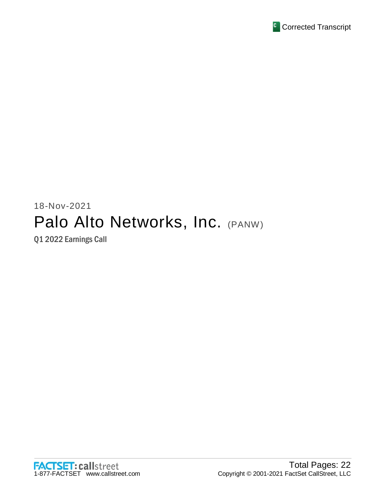

# 18-Nov-2021 Palo Alto Networks, Inc. (PANW)

Q1 2022 Earnings Call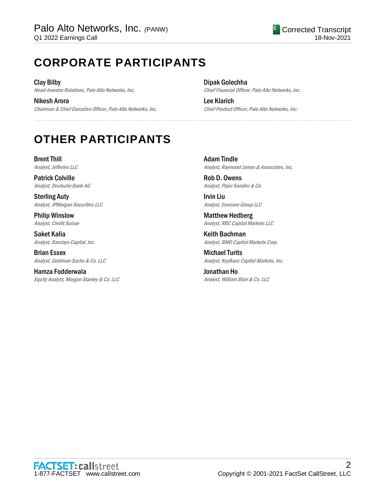## **CORPORATE PARTICIPANTS**

Clay Bilby Head-Investor Relations, Palo Alto Networks, Inc.

Nikesh Arora Chairman & Chief Executive Officer, Palo Alto Networks, Inc. Dipak Golechha Chief Financial Officer, Palo Alto Networks, Inc.

Lee Klarich Chief Product Officer, Palo Alto Networks, Inc.

## **OTHER PARTICIPANTS**

Brent Thill Analyst, Jefferies LLC

Patrick Colville Analyst, Deutsche Bank AG

Sterling Auty Analyst, JPMorgan Securities LLC

Philip Winslow Analyst, Credit Suisse

Saket Kalia Analyst, Barclays Capital, Inc.

Brian Essex Analyst, Goldman Sachs & Co. LLC

Hamza Fodderwala Equity Analyst, Morgan Stanley & Co. LLC Adam Tindle Analyst, Raymond James & Associates, Inc.

Rob D. Owens Analyst, Piper Sandler & Co.

.....................................................................................................................................................................................................................................................................

Irvin Liu Analyst, Evercore Group LLC

Matthew Hedberg Analyst, RBC Capital Markets LLC

Keith Bachman Analyst, BMO Capital Markets Corp.

Michael Turits Analyst, KeyBanc Capital Markets, Inc.

Jonathan Ho Analyst, William Blair & Co. LLC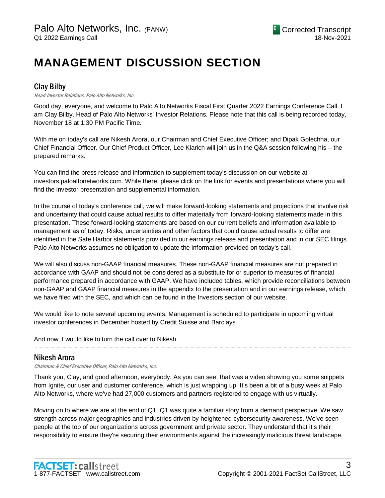## **MANAGEMENT DISCUSSION SECTION**

## Clay Bilby

#### Head-Investor Relations, Palo Alto Networks, Inc.

Good day, everyone, and welcome to Palo Alto Networks Fiscal First Quarter 2022 Earnings Conference Call. I am Clay Bilby, Head of Palo Alto Networks' Investor Relations. Please note that this call is being recorded today, November 18 at 1:30 PM Pacific Time.

With me on today's call are Nikesh Arora, our Chairman and Chief Executive Officer; and Dipak Golechha, our Chief Financial Officer. Our Chief Product Officer, Lee Klarich will join us in the Q&A session following his – the prepared remarks.

You can find the press release and information to supplement today's discussion on our website at investors.paloaltonetworks.com. While there, please click on the link for events and presentations where you will find the investor presentation and supplemental information.

In the course of today's conference call, we will make forward-looking statements and projections that involve risk and uncertainty that could cause actual results to differ materially from forward-looking statements made in this presentation. These forward-looking statements are based on our current beliefs and information available to management as of today. Risks, uncertainties and other factors that could cause actual results to differ are identified in the Safe Harbor statements provided in our earnings release and presentation and in our SEC filings. Palo Alto Networks assumes no obligation to update the information provided on today's call.

We will also discuss non-GAAP financial measures. These non-GAAP financial measures are not prepared in accordance with GAAP and should not be considered as a substitute for or superior to measures of financial performance prepared in accordance with GAAP. We have included tables, which provide reconciliations between non-GAAP and GAAP financial measures in the appendix to the presentation and in our earnings release, which we have filed with the SEC, and which can be found in the Investors section of our website.

We would like to note several upcoming events. Management is scheduled to participate in upcoming virtual investor conferences in December hosted by Credit Suisse and Barclays.

And now, I would like to turn the call over to Nikesh.

## Nikesh Arora

Chairman & Chief Executive Officer, Palo Alto Networks, Inc.

Thank you, Clay, and good afternoon, everybody. As you can see, that was a video showing you some snippets from Ignite, our user and customer conference, which is just wrapping up. It's been a bit of a busy week at Palo Alto Networks, where we've had 27,000 customers and partners registered to engage with us virtually.

.....................................................................................................................................................................................................................................................................

Moving on to where we are at the end of Q1. Q1 was quite a familiar story from a demand perspective. We saw strength across major geographies and industries driven by heightened cybersecurity awareness. We've seen people at the top of our organizations across government and private sector. They understand that it's their responsibility to ensure they're securing their environments against the increasingly malicious threat landscape.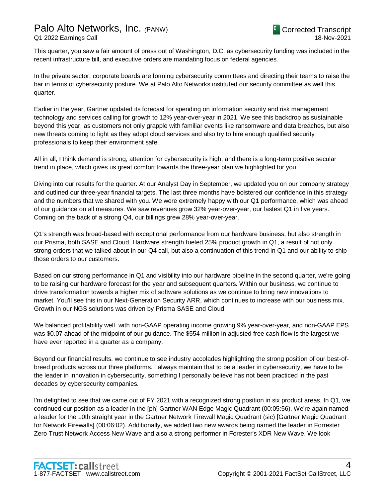This quarter, you saw a fair amount of press out of Washington, D.C. as cybersecurity funding was included in the recent infrastructure bill, and executive orders are mandating focus on federal agencies.

In the private sector, corporate boards are forming cybersecurity committees and directing their teams to raise the bar in terms of cybersecurity posture. We at Palo Alto Networks instituted our security committee as well this quarter.

Earlier in the year, Gartner updated its forecast for spending on information security and risk management technology and services calling for growth to 12% year-over-year in 2021. We see this backdrop as sustainable beyond this year, as customers not only grapple with familiar events like ransomware and data breaches, but also new threats coming to light as they adopt cloud services and also try to hire enough qualified security professionals to keep their environment safe.

All in all, I think demand is strong, attention for cybersecurity is high, and there is a long-term positive secular trend in place, which gives us great comfort towards the three-year plan we highlighted for you.

Diving into our results for the quarter. At our Analyst Day in September, we updated you on our company strategy and outlined our three-year financial targets. The last three months have bolstered our confidence in this strategy and the numbers that we shared with you. We were extremely happy with our Q1 performance, which was ahead of our guidance on all measures. We saw revenues grow 32% year-over-year, our fastest Q1 in five years. Coming on the back of a strong Q4, our billings grew 28% year-over-year.

Q1's strength was broad-based with exceptional performance from our hardware business, but also strength in our Prisma, both SASE and Cloud. Hardware strength fueled 25% product growth in Q1, a result of not only strong orders that we talked about in our Q4 call, but also a continuation of this trend in Q1 and our ability to ship those orders to our customers.

Based on our strong performance in Q1 and visibility into our hardware pipeline in the second quarter, we're going to be raising our hardware forecast for the year and subsequent quarters. Within our business, we continue to drive transformation towards a higher mix of software solutions as we continue to bring new innovations to market. You'll see this in our Next-Generation Security ARR, which continues to increase with our business mix. Growth in our NGS solutions was driven by Prisma SASE and Cloud.

We balanced profitability well, with non-GAAP operating income growing 9% year-over-year, and non-GAAP EPS was \$0.07 ahead of the midpoint of our guidance. The \$554 million in adjusted free cash flow is the largest we have ever reported in a quarter as a company.

Beyond our financial results, we continue to see industry accolades highlighting the strong position of our best-ofbreed products across our three platforms. I always maintain that to be a leader in cybersecurity, we have to be the leader in innovation in cybersecurity, something I personally believe has not been practiced in the past decades by cybersecurity companies.

I'm delighted to see that we came out of FY 2021 with a recognized strong position in six product areas. In Q1, we continued our position as a leader in the [ph] Gartner WAN Edge Magic Quadrant (00:05:56). We're again named a leader for the 10th straight year in the Gartner Network Firewall Magic Quadrant (sic) [Gartner Magic Quadrant for Network Firewalls] (00:06:02). Additionally, we added two new awards being named the leader in Forrester Zero Trust Network Access New Wave and also a strong performer in Forester's XDR New Wave. We look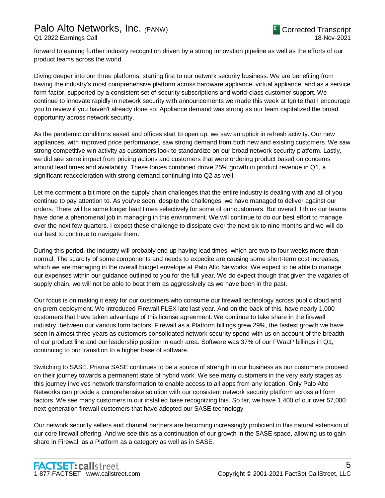forward to earning further industry recognition driven by a strong innovation pipeline as well as the efforts of our product teams across the world.

Diving deeper into our three platforms, starting first to our network security business. We are benefiting from having the industry's most comprehensive platform across hardware appliance, virtual appliance, and as a service form factor, supported by a consistent set of security subscriptions and world-class customer support. We continue to innovate rapidly in network security with announcements we made this week at Ignite that I encourage you to review if you haven't already done so. Appliance demand was strong as our team capitalized the broad opportunity across network security.

As the pandemic conditions eased and offices start to open up, we saw an uptick in refresh activity. Our new appliances, with improved price performance, saw strong demand from both new and existing customers. We saw strong competitive win activity as customers look to standardize on our broad network security platform. Lastly, we did see some impact from pricing actions and customers that were ordering product based on concerns around lead times and availability. These forces combined drove 25% growth in product revenue in Q1, a significant reacceleration with strong demand continuing into Q2 as well.

Let me comment a bit more on the supply chain challenges that the entire industry is dealing with and all of you continue to pay attention to. As you've seen, despite the challenges, we have managed to deliver against our orders. There will be some longer lead times selectively for some of our customers. But overall, I think our teams have done a phenomenal job in managing in this environment. We will continue to do our best effort to manage over the next few quarters. I expect these challenge to dissipate over the next six to nine months and we will do our best to continue to navigate them.

During this period, the industry will probably end up having lead times, which are two to four weeks more than normal. The scarcity of some components and needs to expedite are causing some short-term cost increases, which we are managing in the overall budget envelope at Palo Alto Networks. We expect to be able to manage our expenses within our guidance outlined to you for the full year. We do expect though that given the vagaries of supply chain, we will not be able to beat them as aggressively as we have been in the past.

Our focus is on making it easy for our customers who consume our firewall technology across public cloud and on-prem deployment. We introduced Firewall FLEX late last year. And on the back of this, have nearly 1,000 customers that have taken advantage of this license agreement. We continue to take share in the firewall industry, between our various form factors, Firewall as a Platform billings grew 29%, the fastest growth we have seen in almost three years as customers consolidated network security spend with us on account of the breadth of our product line and our leadership position in each area. Software was 37% of our FWaaP billings in Q1, continuing to our transition to a higher base of software.

Switching to SASE. Prisma SASE continues to be a source of strength in our business as our customers proceed on their journey towards a permanent state of hybrid work. We see many customers in the very early stages as this journey involves network transformation to enable access to all apps from any location. Only Palo Alto Networks can provide a comprehensive solution with our consistent network security platform across all form factors. We see many customers in our installed base recognizing this. So far, we have 1,400 of our over 57,000 next-generation firewall customers that have adopted our SASE technology.

Our network security sellers and channel partners are becoming increasingly proficient in this natural extension of our core firewall offering. And we see this as a continuation of our growth in the SASE space, allowing us to gain share in Firewall as a Platform as a category as well as in SASE.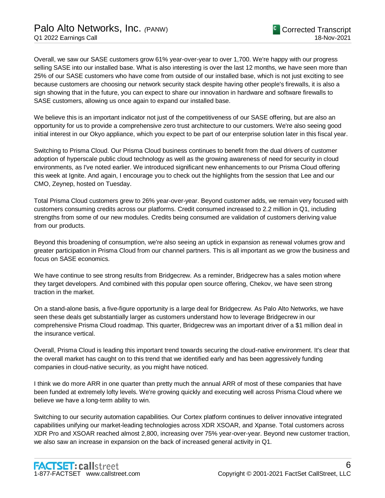Overall, we saw our SASE customers grow 61% year-over-year to over 1,700. We're happy with our progress selling SASE into our installed base. What is also interesting is over the last 12 months, we have seen more than 25% of our SASE customers who have come from outside of our installed base, which is not just exciting to see because customers are choosing our network security stack despite having other people's firewalls, it is also a sign showing that in the future, you can expect to share our innovation in hardware and software firewalls to SASE customers, allowing us once again to expand our installed base.

We believe this is an important indicator not just of the competitiveness of our SASE offering, but are also an opportunity for us to provide a comprehensive zero trust architecture to our customers. We're also seeing good initial interest in our Okyo appliance, which you expect to be part of our enterprise solution later in this fiscal year.

Switching to Prisma Cloud. Our Prisma Cloud business continues to benefit from the dual drivers of customer adoption of hyperscale public cloud technology as well as the growing awareness of need for security in cloud environments, as I've noted earlier. We introduced significant new enhancements to our Prisma Cloud offering this week at Ignite. And again, I encourage you to check out the highlights from the session that Lee and our CMO, Zeynep, hosted on Tuesday.

Total Prisma Cloud customers grew to 26% year-over-year. Beyond customer adds, we remain very focused with customers consuming credits across our platforms. Credit consumed increased to 2.2 million in Q1, including strengths from some of our new modules. Credits being consumed are validation of customers deriving value from our products.

Beyond this broadening of consumption, we're also seeing an uptick in expansion as renewal volumes grow and greater participation in Prisma Cloud from our channel partners. This is all important as we grow the business and focus on SASE economics.

We have continue to see strong results from Bridgecrew. As a reminder, Bridgecrew has a sales motion where they target developers. And combined with this popular open source offering, Chekov, we have seen strong traction in the market.

On a stand-alone basis, a five-figure opportunity is a large deal for Bridgecrew. As Palo Alto Networks, we have seen these deals get substantially larger as customers understand how to leverage Bridgecrew in our comprehensive Prisma Cloud roadmap. This quarter, Bridgecrew was an important driver of a \$1 million deal in the insurance vertical.

Overall, Prisma Cloud is leading this important trend towards securing the cloud-native environment. It's clear that the overall market has caught on to this trend that we identified early and has been aggressively funding companies in cloud-native security, as you might have noticed.

I think we do more ARR in one quarter than pretty much the annual ARR of most of these companies that have been funded at extremely lofty levels. We're growing quickly and executing well across Prisma Cloud where we believe we have a long-term ability to win.

Switching to our security automation capabilities. Our Cortex platform continues to deliver innovative integrated capabilities unifying our market-leading technologies across XDR XSOAR, and Xpanse. Total customers across XDR Pro and XSOAR reached almost 2,800, increasing over 75% year-over-year. Beyond new customer traction, we also saw an increase in expansion on the back of increased general activity in Q1.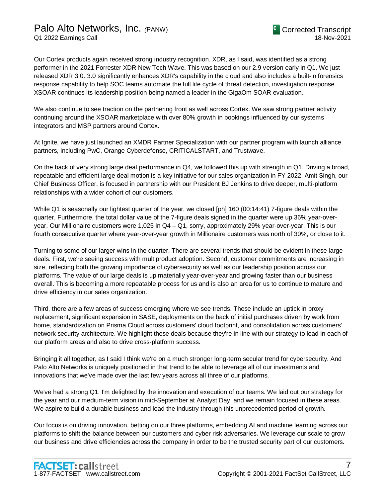Our Cortex products again received strong industry recognition. XDR, as I said, was identified as a strong performer in the 2021 Forrester XDR New Tech Wave. This was based on our 2.9 version early in Q1. We just released XDR 3.0. 3.0 significantly enhances XDR's capability in the cloud and also includes a built-in forensics response capability to help SOC teams automate the full life cycle of threat detection, investigation response. XSOAR continues its leadership position being named a leader in the GigaOm SOAR evaluation.

We also continue to see traction on the partnering front as well across Cortex. We saw strong partner activity continuing around the XSOAR marketplace with over 80% growth in bookings influenced by our systems integrators and MSP partners around Cortex.

At Ignite, we have just launched an XMDR Partner Specialization with our partner program with launch alliance partners, including PwC, Orange Cyberdefense, CRITICALSTART, and Trustwave.

On the back of very strong large deal performance in Q4, we followed this up with strength in Q1. Driving a broad, repeatable and efficient large deal motion is a key initiative for our sales organization in FY 2022. Amit Singh, our Chief Business Officer, is focused in partnership with our President BJ Jenkins to drive deeper, multi-platform relationships with a wider cohort of our customers.

While Q1 is seasonally our lightest quarter of the year, we closed [ph] 160 (00:14:41) 7-figure deals within the quarter. Furthermore, the total dollar value of the 7-figure deals signed in the quarter were up 36% year-overyear. Our Millionaire customers were 1,025 in Q4 – Q1, sorry, approximately 29% year-over-year. This is our fourth consecutive quarter where year-over-year growth in Millionaire customers was north of 30%, or close to it.

Turning to some of our larger wins in the quarter. There are several trends that should be evident in these large deals. First, we're seeing success with multiproduct adoption. Second, customer commitments are increasing in size, reflecting both the growing importance of cybersecurity as well as our leadership position across our platforms. The value of our large deals is up materially year-over-year and growing faster than our business overall. This is becoming a more repeatable process for us and is also an area for us to continue to mature and drive efficiency in our sales organization.

Third, there are a few areas of success emerging where we see trends. These include an uptick in proxy replacement, significant expansion in SASE, deployments on the back of initial purchases driven by work from home, standardization on Prisma Cloud across customers' cloud footprint, and consolidation across customers' network security architecture. We highlight these deals because they're in line with our strategy to lead in each of our platform areas and also to drive cross-platform success.

Bringing it all together, as I said I think we're on a much stronger long-term secular trend for cybersecurity. And Palo Alto Networks is uniquely positioned in that trend to be able to leverage all of our investments and innovations that we've made over the last few years across all three of our platforms.

We've had a strong Q1. I'm delighted by the innovation and execution of our teams. We laid out our strategy for the year and our medium-term vision in mid-September at Analyst Day, and we remain focused in these areas. We aspire to build a durable business and lead the industry through this unprecedented period of growth.

Our focus is on driving innovation, betting on our three platforms, embedding AI and machine learning across our platforms to shift the balance between our customers and cyber risk adversaries. We leverage our scale to grow our business and drive efficiencies across the company in order to be the trusted security part of our customers.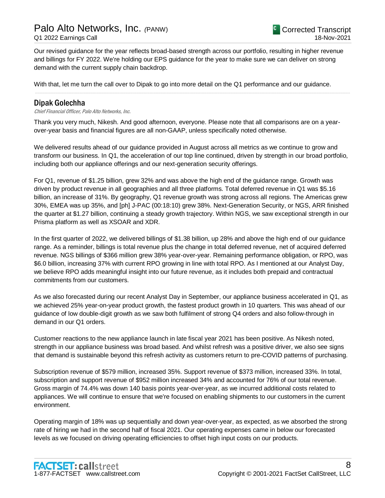Our revised guidance for the year reflects broad-based strength across our portfolio, resulting in higher revenue and billings for FY 2022. We're holding our EPS guidance for the year to make sure we can deliver on strong demand with the current supply chain backdrop.

.....................................................................................................................................................................................................................................................................

With that, let me turn the call over to Dipak to go into more detail on the Q1 performance and our guidance.

### Dipak Golechha

Chief Financial Officer, Palo Alto Networks, Inc.

Thank you very much, Nikesh. And good afternoon, everyone. Please note that all comparisons are on a yearover-year basis and financial figures are all non-GAAP, unless specifically noted otherwise.

We delivered results ahead of our guidance provided in August across all metrics as we continue to grow and transform our business. In Q1, the acceleration of our top line continued, driven by strength in our broad portfolio, including both our appliance offerings and our next-generation security offerings.

For Q1, revenue of \$1.25 billion, grew 32% and was above the high end of the guidance range. Growth was driven by product revenue in all geographies and all three platforms. Total deferred revenue in Q1 was \$5.16 billion, an increase of 31%. By geography, Q1 revenue growth was strong across all regions. The Americas grew 30%, EMEA was up 35%, and [ph] J-PAC (00:18:10) grew 38%. Next-Generation Security, or NGS, ARR finished the quarter at \$1.27 billion, continuing a steady growth trajectory. Within NGS, we saw exceptional strength in our Prisma platform as well as XSOAR and XDR.

In the first quarter of 2022, we delivered billings of \$1.38 billion, up 28% and above the high end of our guidance range. As a reminder, billings is total revenue plus the change in total deferred revenue, net of acquired deferred revenue. NGS billings of \$366 million grew 38% year-over-year. Remaining performance obligation, or RPO, was \$6.0 billion, increasing 37% with current RPO growing in line with total RPO. As I mentioned at our Analyst Day, we believe RPO adds meaningful insight into our future revenue, as it includes both prepaid and contractual commitments from our customers.

As we also forecasted during our recent Analyst Day in September, our appliance business accelerated in Q1, as we achieved 25% year-on-year product growth, the fastest product growth in 10 quarters. This was ahead of our guidance of low double-digit growth as we saw both fulfilment of strong Q4 orders and also follow-through in demand in our Q1 orders.

Customer reactions to the new appliance launch in late fiscal year 2021 has been positive. As Nikesh noted, strength in our appliance business was broad based. And whilst refresh was a positive driver, we also see signs that demand is sustainable beyond this refresh activity as customers return to pre-COVID patterns of purchasing.

Subscription revenue of \$579 million, increased 35%. Support revenue of \$373 million, increased 33%. In total, subscription and support revenue of \$952 million increased 34% and accounted for 76% of our total revenue. Gross margin of 74.4% was down 140 basis points year-over-year, as we incurred additional costs related to appliances. We will continue to ensure that we're focused on enabling shipments to our customers in the current environment.

Operating margin of 18% was up sequentially and down year-over-year, as expected, as we absorbed the strong rate of hiring we had in the second half of fiscal 2021. Our operating expenses came in below our forecasted levels as we focused on driving operating efficiencies to offset high input costs on our products.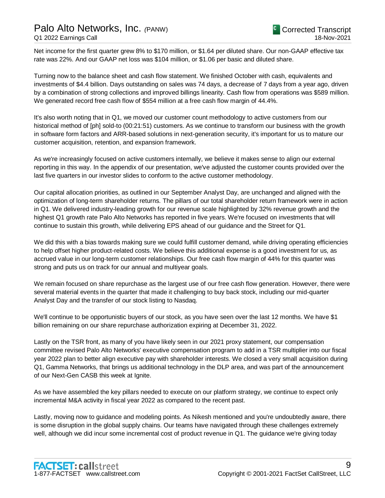## Palo Alto Networks, Inc. *(*PANW)

Net income for the first quarter grew 8% to \$170 million, or \$1.64 per diluted share. Our non-GAAP effective tax rate was 22%. And our GAAP net loss was \$104 million, or \$1.06 per basic and diluted share.

Turning now to the balance sheet and cash flow statement. We finished October with cash, equivalents and investments of \$4.4 billion. Days outstanding on sales was 74 days, a decrease of 7 days from a year ago, driven by a combination of strong collections and improved billings linearity. Cash flow from operations was \$589 million. We generated record free cash flow of \$554 million at a free cash flow margin of 44.4%.

It's also worth noting that in Q1, we moved our customer count methodology to active customers from our historical method of [ph] sold-to (00:21:51) customers. As we continue to transform our business with the growth in software form factors and ARR-based solutions in next-generation security, it's important for us to mature our customer acquisition, retention, and expansion framework.

As we're increasingly focused on active customers internally, we believe it makes sense to align our external reporting in this way. In the appendix of our presentation, we've adjusted the customer counts provided over the last five quarters in our investor slides to conform to the active customer methodology.

Our capital allocation priorities, as outlined in our September Analyst Day, are unchanged and aligned with the optimization of long-term shareholder returns. The pillars of our total shareholder return framework were in action in Q1. We delivered industry-leading growth for our revenue scale highlighted by 32% revenue growth and the highest Q1 growth rate Palo Alto Networks has reported in five years. We're focused on investments that will continue to sustain this growth, while delivering EPS ahead of our guidance and the Street for Q1.

We did this with a bias towards making sure we could fulfill customer demand, while driving operating efficiencies to help offset higher product-related costs. We believe this additional expense is a good investment for us, as accrued value in our long-term customer relationships. Our free cash flow margin of 44% for this quarter was strong and puts us on track for our annual and multiyear goals.

We remain focused on share repurchase as the largest use of our free cash flow generation. However, there were several material events in the quarter that made it challenging to buy back stock, including our mid-quarter Analyst Day and the transfer of our stock listing to Nasdaq.

We'll continue to be opportunistic buyers of our stock, as you have seen over the last 12 months. We have \$1 billion remaining on our share repurchase authorization expiring at December 31, 2022.

Lastly on the TSR front, as many of you have likely seen in our 2021 proxy statement, our compensation committee revised Palo Alto Networks' executive compensation program to add in a TSR multiplier into our fiscal year 2022 plan to better align executive pay with shareholder interests. We closed a very small acquisition during Q1, Gamma Networks, that brings us additional technology in the DLP area, and was part of the announcement of our Next-Gen CASB this week at Ignite.

As we have assembled the key pillars needed to execute on our platform strategy, we continue to expect only incremental M&A activity in fiscal year 2022 as compared to the recent past.

Lastly, moving now to guidance and modeling points. As Nikesh mentioned and you're undoubtedly aware, there is some disruption in the global supply chains. Our teams have navigated through these challenges extremely well, although we did incur some incremental cost of product revenue in Q1. The guidance we're giving today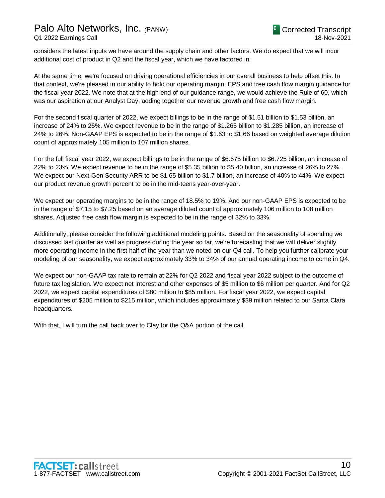considers the latest inputs we have around the supply chain and other factors. We do expect that we will incur additional cost of product in Q2 and the fiscal year, which we have factored in.

At the same time, we're focused on driving operational efficiencies in our overall business to help offset this. In that context, we're pleased in our ability to hold our operating margin, EPS and free cash flow margin guidance for the fiscal year 2022. We note that at the high end of our guidance range, we would achieve the Rule of 60, which was our aspiration at our Analyst Day, adding together our revenue growth and free cash flow margin.

For the second fiscal quarter of 2022, we expect billings to be in the range of \$1.51 billion to \$1.53 billion, an increase of 24% to 26%. We expect revenue to be in the range of \$1.265 billion to \$1.285 billion, an increase of 24% to 26%. Non-GAAP EPS is expected to be in the range of \$1.63 to \$1.66 based on weighted average dilution count of approximately 105 million to 107 million shares.

For the full fiscal year 2022, we expect billings to be in the range of \$6.675 billion to \$6.725 billion, an increase of 22% to 23%. We expect revenue to be in the range of \$5.35 billion to \$5.40 billion, an increase of 26% to 27%. We expect our Next-Gen Security ARR to be \$1.65 billion to \$1.7 billion, an increase of 40% to 44%. We expect our product revenue growth percent to be in the mid-teens year-over-year.

We expect our operating margins to be in the range of 18.5% to 19%. And our non-GAAP EPS is expected to be in the range of \$7.15 to \$7.25 based on an average diluted count of approximately 106 million to 108 million shares. Adjusted free cash flow margin is expected to be in the range of 32% to 33%.

Additionally, please consider the following additional modeling points. Based on the seasonality of spending we discussed last quarter as well as progress during the year so far, we're forecasting that we will deliver slightly more operating income in the first half of the year than we noted on our Q4 call. To help you further calibrate your modeling of our seasonality, we expect approximately 33% to 34% of our annual operating income to come in Q4.

We expect our non-GAAP tax rate to remain at 22% for Q2 2022 and fiscal year 2022 subject to the outcome of future tax legislation. We expect net interest and other expenses of \$5 million to \$6 million per quarter. And for Q2 2022, we expect capital expenditures of \$80 million to \$85 million. For fiscal year 2022, we expect capital expenditures of \$205 million to \$215 million, which includes approximately \$39 million related to our Santa Clara headquarters.

With that, I will turn the call back over to Clay for the Q&A portion of the call.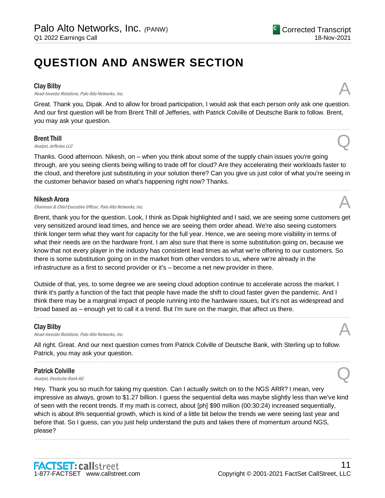## **QUESTION AND ANSWER SECTION**

#### Clay Bilby

**Clay Bilby**<br>Head-Investor Relations, Palo Alto Networks, Inc.

Great. Thank you, Dipak. And to allow for broad participation, I would ask that each person only ask one question. And our first question will be from Brent Thill of Jefferies, with Patrick Colville of Deutsche Bank to follow. Brent, you may ask your question.

.....................................................................................................................................................................................................................................................................

#### Brent Thill

**Brent Thill**<br>Analyst, Jefferies LLC

Thanks. Good afternoon. Nikesh, on – when you think about some of the supply chain issues you're going through, are you seeing clients being willing to trade off for cloud? Are they accelerating their workloads faster to the cloud, and therefore just substituting in your solution there? Can you give us just color of what you're seeing in the customer behavior based on what's happening right now? Thanks.

.....................................................................................................................................................................................................................................................................

#### Nikesh Arora

Chairman & Chief Executive Officer, Palo Alto Networks, Inc.

Brent, thank you for the question. Look, I think as Dipak highlighted and I said, we are seeing some customers get very sensitized around lead times, and hence we are seeing them order ahead. We're also seeing customers think longer term what they want for capacity for the full year. Hence, we are seeing more visibility in terms of what their needs are on the hardware front. I am also sure that there is some substitution going on, because we know that not every player in the industry has consistent lead times as what we're offering to our customers. So there is some substitution going on in the market from other vendors to us, where we're already in the infrastructure as a first to second provider or it's – become a net new provider in there.

Outside of that, yes, to some degree we are seeing cloud adoption continue to accelerate across the market. I think it's partly a function of the fact that people have made the shift to cloud faster given the pandemic. And I think there may be a marginal impact of people running into the hardware issues, but it's not as widespread and broad based as – enough yet to call it a trend. But I'm sure on the margin, that affect us there.

.....................................................................................................................................................................................................................................................................

#### Clay Bilby

**Clay Bilby**<br>Head-Investor Relations, Palo Alto Networks, Inc.

All right. Great. And our next question comes from Patrick Colville of Deutsche Bank, with Sterling up to follow. Patrick, you may ask your question.

.....................................................................................................................................................................................................................................................................

## Patrick Colville **Patrick Colville**<br>Analyst, Deutsche Bank AG  $\overline{Q}$

Hey. Thank you so much for taking my question. Can I actually switch on to the NGS ARR? I mean, very impressive as always, grown to \$1.27 billion. I guess the sequential delta was maybe slightly less than we've kind of seen with the recent trends. If my math is correct, about [ph] \$90 million (00:30:24) increased sequentially, which is about 8% sequential growth, which is kind of a little bit below the trends we were seeing last year and before that. So I guess, can you just help understand the puts and takes there of momentum around NGS, please?

.....................................................................................................................................................................................................................................................................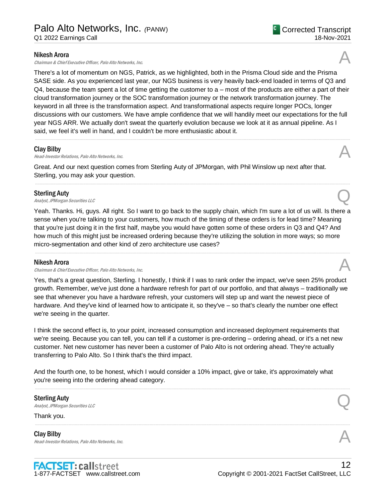Chairman & Chief Executive Officer, Palo Alto Networks, Inc.

There's a lot of momentum on NGS, Patrick, as we highlighted, both in the Prisma Cloud side and the Prisma SASE side. As you experienced last year, our NGS business is very heavily back-end loaded in terms of Q3 and Q4, because the team spent a lot of time getting the customer to a – most of the products are either a part of their cloud transformation journey or the SOC transformation journey or the network transformation journey. The keyword in all three is the transformation aspect. And transformational aspects require longer POCs, longer discussions with our customers. We have ample confidence that we will handily meet our expectations for the full year NGS ARR. We actually don't sweat the quarterly evolution because we look at it as annual pipeline. As I said, we feel it's well in hand, and I couldn't be more enthusiastic about it.

.....................................................................................................................................................................................................................................................................

.....................................................................................................................................................................................................................................................................

#### Clay Bilby

**Clay Bilby**<br>Head-Investor Relations, Palo Alto Networks, Inc.  $\mathcal{A}$ 

Great. And our next question comes from Sterling Auty of JPMorgan, with Phil Winslow up next after that. Sterling, you may ask your question.

### Sterling Auty

Sterling Auty<br>
Analyst, JPMorgan Securities LLC

Yeah. Thanks. Hi, guys. All right. So I want to go back to the supply chain, which I'm sure a lot of us will. Is there a sense when you're talking to your customers, how much of the timing of these orders is for lead time? Meaning that you're just doing it in the first half, maybe you would have gotten some of these orders in Q3 and Q4? And how much of this might just be increased ordering because they're utilizing the solution in more ways; so more micro-segmentation and other kind of zero architecture use cases?

.....................................................................................................................................................................................................................................................................

#### Nikesh Arora

Chairman & Chief Executive Officer, Palo Alto Networks, Inc.

Yes, that's a great question, Sterling. I honestly, I think if I was to rank order the impact, we've seen 25% product growth. Remember, we've just done a hardware refresh for part of our portfolio, and that always – traditionally we see that whenever you have a hardware refresh, your customers will step up and want the newest piece of hardware. And they've kind of learned how to anticipate it, so they've – so that's clearly the number one effect we're seeing in the quarter.

I think the second effect is, to your point, increased consumption and increased deployment requirements that we're seeing. Because you can tell, you can tell if a customer is pre-ordering – ordering ahead, or it's a net new customer. Net new customer has never been a customer of Palo Alto is not ordering ahead. They're actually transferring to Palo Alto. So I think that's the third impact.

And the fourth one, to be honest, which I would consider a 10% impact, give or take, it's approximately what you're seeing into the ordering ahead category.

.....................................................................................................................................................................................................................................................................

## Sterling Auty Sterling Auty<br>
Analyst, JPMorgan Securities LLC

Thank you.

Clay Bilby **Clay Bilby**<br>Head-Investor Relations, Palo Alto Networks, Inc.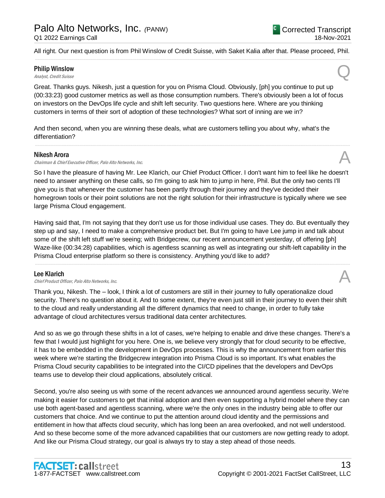All right. Our next question is from Phil Winslow of Credit Suisse, with Saket Kalia after that. Please proceed, Phil. .....................................................................................................................................................................................................................................................................

## Philip Winslow **Philip Winslow**<br>Analyst, Credit Suisse

Great. Thanks guys. Nikesh, just a question for you on Prisma Cloud. Obviously, [ph] you continue to put up (00:33:23) good customer metrics as well as those consumption numbers. There's obviously been a lot of focus on investors on the DevOps life cycle and shift left security. Two questions here. Where are you thinking customers in terms of their sort of adoption of these technologies? What sort of inning are we in?

And then second, when you are winning these deals, what are customers telling you about why, what's the differentiation?

#### Nikesh Arora

Chairman & Chief Executive Officer, Palo Alto Networks, Inc.

So I have the pleasure of having Mr. Lee Klarich, our Chief Product Officer. I don't want him to feel like he doesn't need to answer anything on these calls, so I'm going to ask him to jump in here, Phil. But the only two cents I'll give you is that whenever the customer has been partly through their journey and they've decided their homegrown tools or their point solutions are not the right solution for their infrastructure is typically where we see large Prisma Cloud engagement.

.....................................................................................................................................................................................................................................................................

Having said that, I'm not saying that they don't use us for those individual use cases. They do. But eventually they step up and say, I need to make a comprehensive product bet. But I'm going to have Lee jump in and talk about some of the shift left stuff we're seeing; with Bridgecrew, our recent announcement yesterday, of offering [ph] Waze-like (00:34:28) capabilities, which is agentless scanning as well as integrating our shift-left capability in the Prisma Cloud enterprise platform so there is consistency. Anything you'd like to add?

.....................................................................................................................................................................................................................................................................

#### Lee Klarich

**Lee Klarich**<br>Chief Product Officer, Palo Alto Networks, Inc.

Thank you, Nikesh. The – look, I think a lot of customers are still in their journey to fully operationalize cloud security. There's no question about it. And to some extent, they're even just still in their journey to even their shift to the cloud and really understanding all the different dynamics that need to change, in order to fully take advantage of cloud architectures versus traditional data center architectures.

And so as we go through these shifts in a lot of cases, we're helping to enable and drive these changes. There's a few that I would just highlight for you here. One is, we believe very strongly that for cloud security to be effective, it has to be embedded in the development in DevOps processes. This is why the announcement from earlier this week where we're starting the Bridgecrew integration into Prisma Cloud is so important. It's what enables the Prisma Cloud security capabilities to be integrated into the CI/CD pipelines that the developers and DevOps teams use to develop their cloud applications, absolutely critical.

Second, you're also seeing us with some of the recent advances we announced around agentless security. We're making it easier for customers to get that initial adoption and then even supporting a hybrid model where they can use both agent-based and agentless scanning, where we're the only ones in the industry being able to offer our customers that choice. And we continue to put the attention around cloud identity and the permissions and entitlement in how that affects cloud security, which has long been an area overlooked, and not well understood. And so these become some of the more advanced capabilities that our customers are now getting ready to adopt. And like our Prisma Cloud strategy, our goal is always try to stay a step ahead of those needs.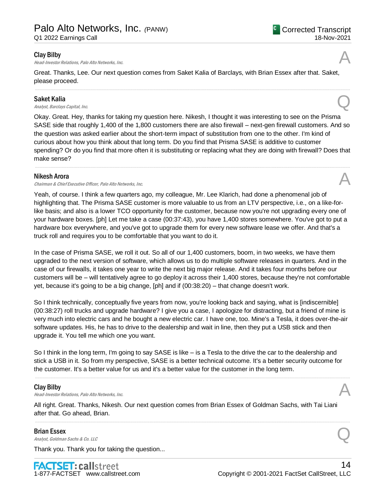#### Clay Bilby

Head-Investor Relations, Palo Alto Networks, Inc.

Great. Thanks, Lee. Our next question comes from Saket Kalia of Barclays, with Brian Essex after that. Saket, please proceed.

.....................................................................................................................................................................................................................................................................

### Saket Kalia

Saket Kalia  $A_{nab}$ st, Barclays Capital, Inc.  $Q$ 

Okay. Great. Hey, thanks for taking my question here. Nikesh, I thought it was interesting to see on the Prisma SASE side that roughly 1,400 of the 1,800 customers there are also firewall – next-gen firewall customers. And so the question was asked earlier about the short-term impact of substitution from one to the other. I'm kind of curious about how you think about that long term. Do you find that Prisma SASE is additive to customer spending? Or do you find that more often it is substituting or replacing what they are doing with firewall? Does that make sense?

.....................................................................................................................................................................................................................................................................

#### Nikesh Arora

Chairman & Chief Executive Officer, Palo Alto Networks, Inc. A

Yeah, of course. I think a few quarters ago, my colleague, Mr. Lee Klarich, had done a phenomenal job of highlighting that. The Prisma SASE customer is more valuable to us from an LTV perspective, i.e., on a like-forlike basis; and also is a lower TCO opportunity for the customer, because now you're not upgrading every one of your hardware boxes. [ph] Let me take a case (00:37:43), you have 1,400 stores somewhere. You've got to put a hardware box everywhere, and you've got to upgrade them for every new software lease we offer. And that's a truck roll and requires you to be comfortable that you want to do it.

In the case of Prisma SASE, we roll it out. So all of our 1,400 customers, boom, in two weeks, we have them upgraded to the next version of software, which allows us to do multiple software releases in quarters. And in the case of our firewalls, it takes one year to write the next big major release. And it takes four months before our customers will be – will tentatively agree to go deploy it across their 1,400 stores, because they're not comfortable yet, because it's going to be a big change, [ph] and if (00:38:20) – that change doesn't work.

So I think technically, conceptually five years from now, you're looking back and saying, what is [indiscernible] (00:38:27) roll trucks and upgrade hardware? I give you a case, I apologize for distracting, but a friend of mine is very much into electric cars and he bought a new electric car. I have one, too. Mine's a Tesla, it does over-the-air software updates. His, he has to drive to the dealership and wait in line, then they put a USB stick and then upgrade it. You tell me which one you want.

So I think in the long term, I'm going to say SASE is like – is a Tesla to the drive the car to the dealership and stick a USB in it. So from my perspective, SASE is a better technical outcome. It's a better security outcome for the customer. It's a better value for us and it's a better value for the customer in the long term.

.....................................................................................................................................................................................................................................................................

#### Clay Bilby

**Clay Bilby**<br>Head-Investor Relations, Palo Alto Networks, Inc.

All right. Great. Thanks, Nikesh. Our next question comes from Brian Essex of Goldman Sachs, with Tai Liani after that. Go ahead, Brian.

.....................................................................................................................................................................................................................................................................

## Brian Essex **Brian Essex**<br>Analyst, Goldman Sachs & Co. LLC

Thank you. Thank you for taking the question...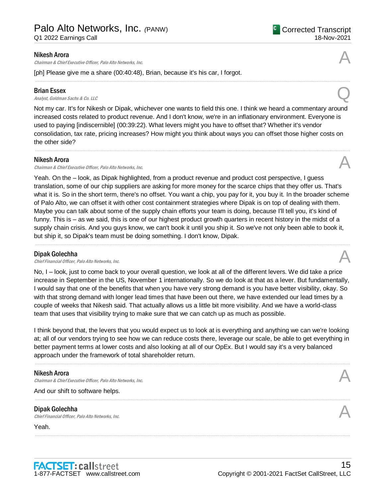Chairman & Chief Executive Officer, Palo Alto Networks, Inc.

[ph] Please give me a share (00:40:48), Brian, because it's his car, I forgot.

#### Brian Essex

**Brian Essex**<br>Analyst, Goldman Sachs & Co. LLC

Not my car. It's for Nikesh or Dipak, whichever one wants to field this one. I think we heard a commentary around increased costs related to product revenue. And I don't know, we're in an inflationary environment. Everyone is used to paying [indiscernible] (00:39:22). What levers might you have to offset that? Whether it's vendor consolidation, tax rate, pricing increases? How might you think about ways you can offset those higher costs on the other side?

.....................................................................................................................................................................................................................................................................

#### Nikesh Arora

Chairman & Chief Executive Officer, Palo Alto Networks, Inc. A

Yeah. On the – look, as Dipak highlighted, from a product revenue and product cost perspective, I guess translation, some of our chip suppliers are asking for more money for the scarce chips that they offer us. That's what it is. So in the short term, there's no offset. You want a chip, you pay for it, you buy it. In the broader scheme of Palo Alto, we can offset it with other cost containment strategies where Dipak is on top of dealing with them. Maybe you can talk about some of the supply chain efforts your team is doing, because I'll tell you, it's kind of funny. This is – as we said, this is one of our highest product growth quarters in recent history in the midst of a supply chain crisis. And you guys know, we can't book it until you ship it. So we've not only been able to book it, but ship it, so Dipak's team must be doing something. I don't know, Dipak.

.....................................................................................................................................................................................................................................................................

#### Dipak Golechha

**Dipak Golechha**<br>Chief Financial Officer, Palo Alto Networks, Inc.  $\mathcal{A}$ 

No, I – look, just to come back to your overall question, we look at all of the different levers. We did take a price increase in September in the US, November 1 internationally. So we do look at that as a lever. But fundamentally, I would say that one of the benefits that when you have very strong demand is you have better visibility, okay. So with that strong demand with longer lead times that have been out there, we have extended our lead times by a couple of weeks that Nikesh said. That actually allows us a little bit more visibility. And we have a world-class team that uses that visibility trying to make sure that we can catch up as much as possible.

I think beyond that, the levers that you would expect us to look at is everything and anything we can we're looking at; all of our vendors trying to see how we can reduce costs there, leverage our scale, be able to get everything in better payment terms at lower costs and also looking at all of our OpEx. But I would say it's a very balanced approach under the framework of total shareholder return.

.....................................................................................................................................................................................................................................................................

.....................................................................................................................................................................................................................................................................

.....................................................................................................................................................................................................................................................................

#### Nikesh Arora

Chairman & Chief Executive Officer, Palo Alto Networks, Inc.

And our shift to software helps.

## Dipak Golechha **Dipak Golechha**<br>Chief Financial Officer, Palo Alto Networks, Inc.  $\mathcal{A}$

Yeah.





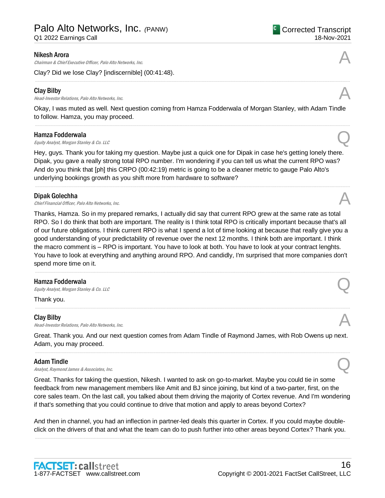Q1 2022 Earnings Call

#### Nikesh Arora

Chairman & Chief Executive Officer, Palo Alto Networks, Inc.

Clay? Did we lose Clay? [indiscernible] (00:41:48).

#### Clay Bilby

**Clay Bilby**<br>Head-Investor Relations, Palo Alto Networks, Inc.  $\mathcal{A}$ 

Okay, I was muted as well. Next question coming from Hamza Fodderwala of Morgan Stanley, with Adam Tindle to follow. Hamza, you may proceed. .....................................................................................................................................................................................................................................................................

.....................................................................................................................................................................................................................................................................

#### Hamza Fodderwala

**Hamza Fodderwala**<br>Equity Analyst, Morgan Stanley & Co. LLC Quarter Compared to the Second Compared Stanley & Co. LLC

Hey, guys. Thank you for taking my question. Maybe just a quick one for Dipak in case he's getting lonely there. Dipak, you gave a really strong total RPO number. I'm wondering if you can tell us what the current RPO was? And do you think that [ph] this CRPO (00:42:19) metric is going to be a cleaner metric to gauge Palo Alto's underlying bookings growth as you shift more from hardware to software?

.....................................................................................................................................................................................................................................................................

#### Dipak Golechha

**Dipak Golechha**<br>Chief Financial Officer, Palo Alto Networks, Inc.  $\mathcal{A}$ 

Thanks, Hamza. So in my prepared remarks, I actually did say that current RPO grew at the same rate as total RPO. So I do think that both are important. The reality is I think total RPO is critically important because that's all of our future obligations. I think current RPO is what I spend a lot of time looking at because that really give you a good understanding of your predictability of revenue over the next 12 months. I think both are important. I think the macro comment is – RPO is important. You have to look at both. You have to look at your contract lenghts. You have to look at everything and anything around RPO. And candidly, I'm surprised that more companies don't spend more time on it.

.....................................................................................................................................................................................................................................................................

.....................................................................................................................................................................................................................................................................

#### Hamza Fodderwala

**Hamza Fodderwala**<br>Equity Analyst, Morgan Stanley & Co. LLC Quarter Compared to the Standard Compared Compared to the Standard Co

Thank you.

#### Clay Bilby

**Clay Bilby**<br>Head-Investor Relations, Palo Alto Networks, Inc.

Great. Thank you. And our next question comes from Adam Tindle of Raymond James, with Rob Owens up next. Adam, you may proceed. .....................................................................................................................................................................................................................................................................

#### Adam Tindle

Adam Tindle<br>Analyst, Raymond James & Associates, Inc.  $\mathbb{Q}$ 

Great. Thanks for taking the question, Nikesh. I wanted to ask on go-to-market. Maybe you could tie in some feedback from new management members like Amit and BJ since joining, but kind of a two-parter, first, on the core sales team. On the last call, you talked about them driving the majority of Cortex revenue. And I'm wondering if that's something that you could continue to drive that motion and apply to areas beyond Cortex?

And then in channel, you had an inflection in partner-led deals this quarter in Cortex. If you could maybe doubleclick on the drivers of that and what the team can do to push further into other areas beyond Cortex? Thank you. .....................................................................................................................................................................................................................................................................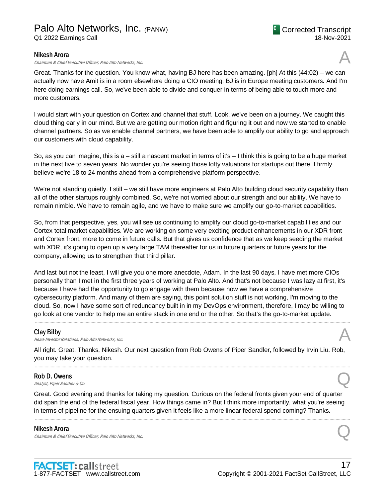#### Nikesh Arora

Chairman & Chief Executive Officer, Palo Alto Networks, Inc.

Great. Thanks for the question. You know what, having BJ here has been amazing. [ph] At this (44:02) – we can actually now have Amit is in a room elsewhere doing a CIO meeting. BJ is in Europe meeting customers. And I'm here doing earnings call. So, we've been able to divide and conquer in terms of being able to touch more and more customers.

I would start with your question on Cortex and channel that stuff. Look, we've been on a journey. We caught this cloud thing early in our mind. But we are getting our motion right and figuring it out and now we started to enable channel partners. So as we enable channel partners, we have been able to amplify our ability to go and approach our customers with cloud capability.

So, as you can imagine, this is a – still a nascent market in terms of it's – I think this is going to be a huge market in the next five to seven years. No wonder you're seeing those lofty valuations for startups out there. I firmly believe we're 18 to 24 months ahead from a comprehensive platform perspective.

We're not standing quietly. I still – we still have more engineers at Palo Alto building cloud security capability than all of the other startups roughly combined. So, we're not worried about our strength and our ability. We have to remain nimble. We have to remain agile, and we have to make sure we amplify our go-to-market capabilities.

So, from that perspective, yes, you will see us continuing to amplify our cloud go-to-market capabilities and our Cortex total market capabilities. We are working on some very exciting product enhancements in our XDR front and Cortex front, more to come in future calls. But that gives us confidence that as we keep seeding the market with XDR, it's going to open up a very large TAM thereafter for us in future quarters or future years for the company, allowing us to strengthen that third pillar.

And last but not the least, I will give you one more anecdote, Adam. In the last 90 days, I have met more CIOs personally than I met in the first three years of working at Palo Alto. And that's not because I was lazy at first, it's because I have had the opportunity to go engage with them because now we have a comprehensive cybersecurity platform. And many of them are saying, this point solution stuff is not working, I'm moving to the cloud. So, now I have some sort of redundancy built in in my DevOps environment, therefore, I may be willing to go look at one vendor to help me an entire stack in one end or the other. So that's the go-to-market update.

.....................................................................................................................................................................................................................................................................

#### Clay Bilby

**Clay Bilby**<br>Head-Investor Relations, Palo Alto Networks, Inc.  $\mathcal{A}$ 

All right. Great. Thanks, Nikesh. Our next question from Rob Owens of Piper Sandler, followed by Irvin Liu. Rob, you may take your question.

.....................................................................................................................................................................................................................................................................

#### Rob D. Owens

**Rob D. Owens**<br>Analyst, Piper Sandler & Co.

Great. Good evening and thanks for taking my question. Curious on the federal fronts given your end of quarter did span the end of the federal fiscal year. How things came in? But I think more importantly, what you're seeing in terms of pipeline for the ensuing quarters given it feels like a more linear federal spend coming? Thanks.

.....................................................................................................................................................................................................................................................................

#### Nikesh Arora

Chairman & Chief Executive Officer, Palo Alto Networks, Inc.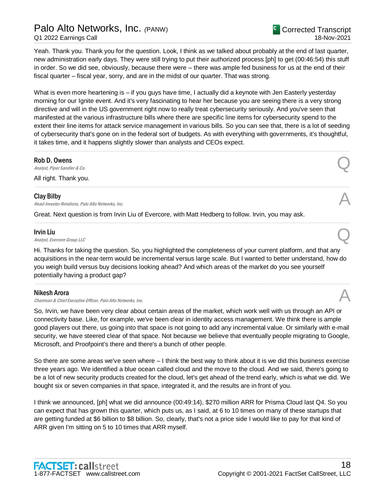## Palo Alto Networks, Inc. *(*PANW)

Q1 2022 Earnings Call

Yeah. Thank you. Thank you for the question. Look, I think as we talked about probably at the end of last quarter, new administration early days. They were still trying to put their authorized process [ph] to get (00:46:54) this stuff in order. So we did see, obviously, because there were – there was ample fed business for us at the end of their fiscal quarter – fiscal year, sorry, and are in the midst of our quarter. That was strong.

What is even more heartening is – if you guys have time, I actually did a keynote with Jen Easterly yesterday morning for our Ignite event. And it's very fascinating to hear her because you are seeing there is a very strong directive and will in the US government right now to really treat cybersecurity seriously. And you've seen that manifested at the various infrastructure bills where there are specific line items for cybersecurity spend to the extent their line items for attack service management in various bills. So you can see that, there is a lot of seeding of cybersecurity that's gone on in the federal sort of budgets. As with everything with governments, it's thoughtful, it takes time, and it happens slightly slower than analysts and CEOs expect.

.....................................................................................................................................................................................................................................................................

.....................................................................................................................................................................................................................................................................

.....................................................................................................................................................................................................................................................................

#### Rob D. Owens

**Rob D. Owens**<br>Analyst, Piper Sandler & Co.

All right. Thank you.

#### Clay Bilby

**Clay Bilby**<br>Head-Investor Relations, Palo Alto Networks, Inc.

Great. Next question is from Irvin Liu of Evercore, with Matt Hedberg to follow. Irvin, you may ask.

#### Irvin Liu

**Irvin Liu**<br>Analyst, Evercore Group LLC

Hi. Thanks for taking the question. So, you highlighted the completeness of your current platform, and that any acquisitions in the near-term would be incremental versus large scale. But I wanted to better understand, how do you weigh build versus buy decisions looking ahead? And which areas of the market do you see yourself potentially having a product gap?

.....................................................................................................................................................................................................................................................................

#### Nikesh Arora

Chairman & Chief Executive Officer, Palo Alto Networks, Inc.

So, Irvin, we have been very clear about certain areas of the market, which work well with us through an API or connectivity base. Like, for example, we've been clear in identity access management. We think there is ample good players out there, us going into that space is not going to add any incremental value. Or similarly with e-mail security, we have steered clear of that space. Not because we believe that eventually people migrating to Google, Microsoft, and Proofpoint's there and there's a bunch of other people.

So there are some areas we've seen where – I think the best way to think about it is we did this business exercise three years ago. We identified a blue ocean called cloud and the move to the cloud. And we said, there's going to be a lot of new security products created for the cloud, let's get ahead of the trend early, which is what we did. We bought six or seven companies in that space, integrated it, and the results are in front of you.

I think we announced, [ph] what we did announce (00:49:14), \$270 million ARR for Prisma Cloud last Q4. So you can expect that has grown this quarter, which puts us, as I said, at 6 to 10 times on many of these startups that are getting funded at \$6 billion to \$8 billion. So, clearly, that's not a price side I would like to pay for that kind of ARR given I'm sitting on 5 to 10 times that ARR myself.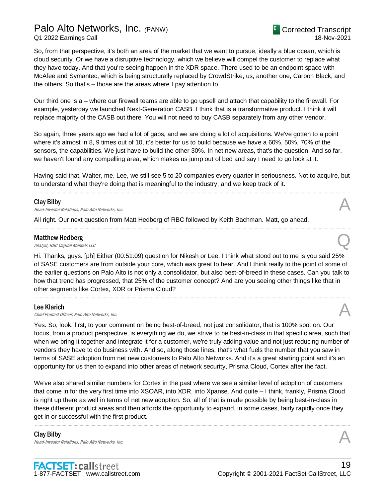Palo Alto Networks, Inc. *(*PANW) Q1 2022 Earnings Call

So, from that perspective, it's both an area of the market that we want to pursue, ideally a blue ocean, which is cloud security. Or we have a disruptive technology, which we believe will compel the customer to replace what they have today. And that you're seeing happen in the XDR space. There used to be an endpoint space with McAfee and Symantec, which is being structurally replaced by CrowdStrike, us, another one, Carbon Black, and the others. So that's – those are the areas where I pay attention to.

Our third one is a – where our firewall teams are able to go upsell and attach that capability to the firewall. For example, yesterday we launched Next-Generation CASB. I think that is a transformative product. I think it will replace majority of the CASB out there. You will not need to buy CASB separately from any other vendor.

So again, three years ago we had a lot of gaps, and we are doing a lot of acquisitions. We've gotten to a point where it's almost in 8, 9 times out of 10, it's better for us to build because we have a 60%, 50%, 70% of the sensors, the capabilities. We just have to build the other 30%. In net new areas, that's the question. And so far, we haven't found any compelling area, which makes us jump out of bed and say I need to go look at it.

Having said that, Walter, me, Lee, we still see 5 to 20 companies every quarter in seriousness. Not to acquire, but to understand what they're doing that is meaningful to the industry, and we keep track of it. .....................................................................................................................................................................................................................................................................

#### Clay Bilby

**Clay Bilby**<br>Head-Investor Relations, Palo Alto Networks, Inc.

All right. Our next question from Matt Hedberg of RBC followed by Keith Bachman. Matt, go ahead.

#### Matthew Hedberg

**Matthew Hedberg**<br>Analyst, RBC Capital Markets LLC

Hi. Thanks, guys. [ph] Either (00:51:09) question for Nikesh or Lee. I think what stood out to me is you said 25% of SASE customers are from outside your core, which was great to hear. And I think really to the point of some of the earlier questions on Palo Alto is not only a consolidator, but also best-of-breed in these cases. Can you talk to how that trend has progressed, that 25% of the customer concept? And are you seeing other things like that in other segments like Cortex, XDR or Prisma Cloud?

.....................................................................................................................................................................................................................................................................

.....................................................................................................................................................................................................................................................................

#### Lee Klarich

**Lee Klarich**<br>Chief Product Officer, Palo Alto Networks, Inc.  $\mathcal{A}$ 

Yes. So, look, first, to your comment on being best-of-breed, not just consolidator, that is 100% spot on. Our focus, from a product perspective, is everything we do, we strive to be best-in-class in that specific area, such that when we bring it together and integrate it for a customer, we're truly adding value and not just reducing number of vendors they have to do business with. And so, along those lines, that's what fuels the number that you saw in terms of SASE adoption from net new customers to Palo Alto Networks. And it's a great starting point and it's an opportunity for us then to expand into other areas of network security, Prisma Cloud, Cortex after the fact.

We've also shared similar numbers for Cortex in the past where we see a similar level of adoption of customers that come in for the very first time into XSOAR, into XDR, into Xpanse. And quite – I think, frankly, Prisma Cloud is right up there as well in terms of net new adoption. So, all of that is made possible by being best-in-class in these different product areas and then affords the opportunity to expand, in some cases, fairly rapidly once they get in or successful with the first product.

.....................................................................................................................................................................................................................................................................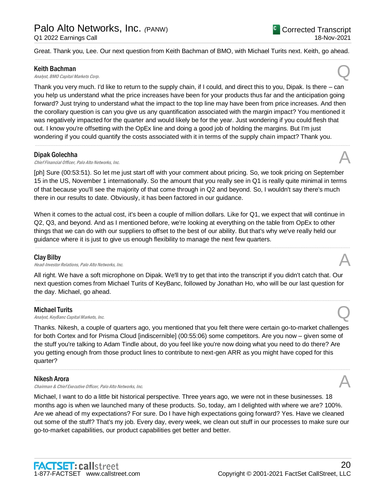Great. Thank you, Lee. Our next question from Keith Bachman of BMO, with Michael Turits next. Keith, go ahead. .....................................................................................................................................................................................................................................................................

#### Keith Bachman

**Keith Bachman**<br>Analyst, BMO Capital Markets Corp.  $Q$ 

Thank you very much. I'd like to return to the supply chain, if I could, and direct this to you, Dipak. Is there – can you help us understand what the price increases have been for your products thus far and the anticipation going forward? Just trying to understand what the impact to the top line may have been from price increases. And then the corollary question is can you give us any quantification associated with the margin impact? You mentioned it was negatively impacted for the quarter and would likely be for the year. Just wondering if you could flesh that out. I know you're offsetting with the OpEx line and doing a good job of holding the margins. But I'm just wondering if you could quantify the costs associated with it in terms of the supply chain impact? Thank you.

.....................................................................................................................................................................................................................................................................

#### Dipak Golechha

**Dipak Golechha**<br>Chief Financial Officer, Palo Alto Networks, Inc.  $\mathcal{A}$ 

[ph] Sure (00:53:51). So let me just start off with your comment about pricing. So, we took pricing on September 15 in the US, November 1 internationally. So the amount that you really see in Q1 is really quite minimal in terms of that because you'll see the majority of that come through in Q2 and beyond. So, I wouldn't say there's much there in our results to date. Obviously, it has been factored in our guidance.

When it comes to the actual cost, it's been a couple of million dollars. Like for Q1, we expect that will continue in Q2, Q3, and beyond. And as I mentioned before, we're looking at everything on the table from OpEx to other things that we can do with our suppliers to offset to the best of our ability. But that's why we've really held our guidance where it is just to give us enough flexibility to manage the next few quarters.

.....................................................................................................................................................................................................................................................................

#### Clay Bilby

**Clay Bilby**<br>Head-Investor Relations, Palo Alto Networks, Inc.  $\mathcal{A}$ 

All right. We have a soft microphone on Dipak. We'll try to get that into the transcript if you didn't catch that. Our next question comes from Michael Turits of KeyBanc, followed by Jonathan Ho, who will be our last question for the day. Michael, go ahead.

.....................................................................................................................................................................................................................................................................

#### Michael Turits

**Michael Turits**<br>Analyst, KeyBanc Capital Markets, Inc.  $Q$ 

Thanks. Nikesh, a couple of quarters ago, you mentioned that you felt there were certain go-to-market challenges for both Cortex and for Prisma Cloud [indiscernible] (00:55:06) some competitors. Are you now – given some of the stuff you're talking to Adam Tindle about, do you feel like you're now doing what you need to do there? Are you getting enough from those product lines to contribute to next-gen ARR as you might have coped for this quarter?

.....................................................................................................................................................................................................................................................................

#### Nikesh Arora

Chairman & Chief Executive Officer, Palo Alto Networks, Inc.

Michael, I want to do a little bit historical perspective. Three years ago, we were not in these businesses. 18 months ago is when we launched many of these products. So, today, am I delighted with where we are? 100%. Are we ahead of my expectations? For sure. Do I have high expectations going forward? Yes. Have we cleaned out some of the stuff? That's my job. Every day, every week, we clean out stuff in our processes to make sure our go-to-market capabilities, our product capabilities get better and better.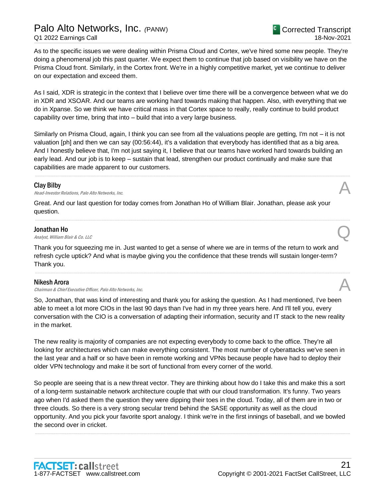## Palo Alto Networks, Inc. *(*PANW) Q1 2022 Earnings Call

As to the specific issues we were dealing within Prisma Cloud and Cortex, we've hired some new people. They're doing a phenomenal job this past quarter. We expect them to continue that job based on visibility we have on the Prisma Cloud front. Similarly, in the Cortex front. We're in a highly competitive market, yet we continue to deliver on our expectation and exceed them.

As I said, XDR is strategic in the context that I believe over time there will be a convergence between what we do in XDR and XSOAR. And our teams are working hard towards making that happen. Also, with everything that we do in Xpanse. So we think we have critical mass in that Cortex space to really, really continue to build product capability over time, bring that into – build that into a very large business.

Similarly on Prisma Cloud, again, I think you can see from all the valuations people are getting, I'm not – it is not valuation [ph] and then we can say (00:56:44), it's a validation that everybody has identified that as a big area. And I honestly believe that, I'm not just saying it, I believe that our teams have worked hard towards building an early lead. And our job is to keep – sustain that lead, strengthen our product continually and make sure that capabilities are made apparent to our customers.

.....................................................................................................................................................................................................................................................................

.....................................................................................................................................................................................................................................................................

#### Clay Bilby

**Clay Bilby**<br>Head-Investor Relations, Palo Alto Networks, Inc.  $\mathcal{A}$ 

Great. And our last question for today comes from Jonathan Ho of William Blair. Jonathan, please ask your question.

#### Jonathan Ho

**Jonathan Ho**<br>Analyst, William Blair & Co. LLC  $\qquad \qquad \qquad \qquad$ 

Thank you for squeezing me in. Just wanted to get a sense of where we are in terms of the return to work and refresh cycle uptick? And what is maybe giving you the confidence that these trends will sustain longer-term? Thank you.

.....................................................................................................................................................................................................................................................................

#### Nikesh Arora

Chairman & Chief Executive Officer, Palo Alto Networks, Inc.

So, Jonathan, that was kind of interesting and thank you for asking the question. As I had mentioned, I've been able to meet a lot more CIOs in the last 90 days than I've had in my three years here. And I'll tell you, every conversation with the CIO is a conversation of adapting their information, security and IT stack to the new reality in the market.

The new reality is majority of companies are not expecting everybody to come back to the office. They're all looking for architectures which can make everything consistent. The most number of cyberattacks we've seen in the last year and a half or so have been in remote working and VPNs because people have had to deploy their older VPN technology and make it be sort of functional from every corner of the world.

So people are seeing that is a new threat vector. They are thinking about how do I take this and make this a sort of a long-term sustainable network architecture couple that with our cloud transformation. It's funny. Two years ago when I'd asked them the question they were dipping their toes in the cloud. Today, all of them are in two or three clouds. So there is a very strong secular trend behind the SASE opportunity as well as the cloud opportunity. And you pick your favorite sport analogy. I think we're in the first innings of baseball, and we bowled the second over in cricket.

.....................................................................................................................................................................................................................................................................